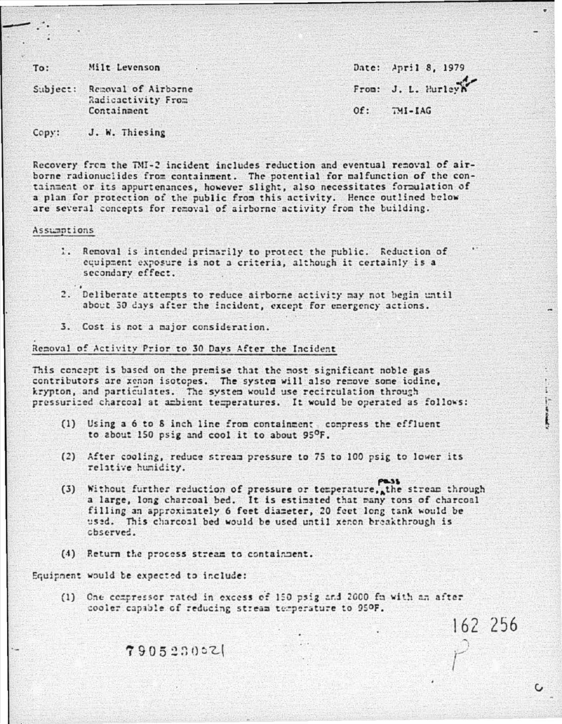Milt Levenson  $To:$ 

Subject: Removal of Airborne Radioactivity From Containment

Date: April 8, 1979 From: J. L. Hurle  $OF:$ TMI-IAG

162 256

C

J. W. Thiesing  $Copy:$ 

Recovery from the TMI-2 incident includes reduction and eventual removal of airborne radionuclides from containment. The potential for malfunction of the containment or its appurtenances, however slight, also necessitates formulation of a plan for protection of the public from this activity. Hence outlined below are several concepts for removal of airborne activity from the building.

Assummtions

- 1. Removal is intended primarily to protect the public. Reduction of equipment exposure is not a criteria, although it certainly is a secondary effect.
- 2. Deliberate attempts to reduce airborne activity may not begin until about 30 days after the incident, except for emergency actions.
- 3. Cost is not a major consideration.

Removal of Activity Prior to 30 Days After the Incident

This concept is based on the premise that the most significant noble gas contributors are xenon isotopes. The system will also remove some iodine, krypton, and particulates. The system would use recirculation through pressurized charcoal at ambient temperatures. It would be operated as follows:

- (1) Using a 6 to 8 inch line from containment compress the effluent to about 150 psig and cool it to about 95°F.
- (2) After cooling, reduce stream pressure to 75 to 100 psig to lower its relative humidity.
- (3) Without further reduction of pressure or temperature, the stream through a large, long charcoal bed. It is estimated that many tons of charcoal filling an approximately 6 feet diameter, 20 feet long tank would be used. This charcoal bed would be used until xenon breakthrough is cbserved.
- (4) Return the process stream to containment.

Equipment would be expected to include:

(1) One compressor rated in excess of 150 psig and 2000 fn with an after cooler capable of reducing stream temperature to 950F.

790523002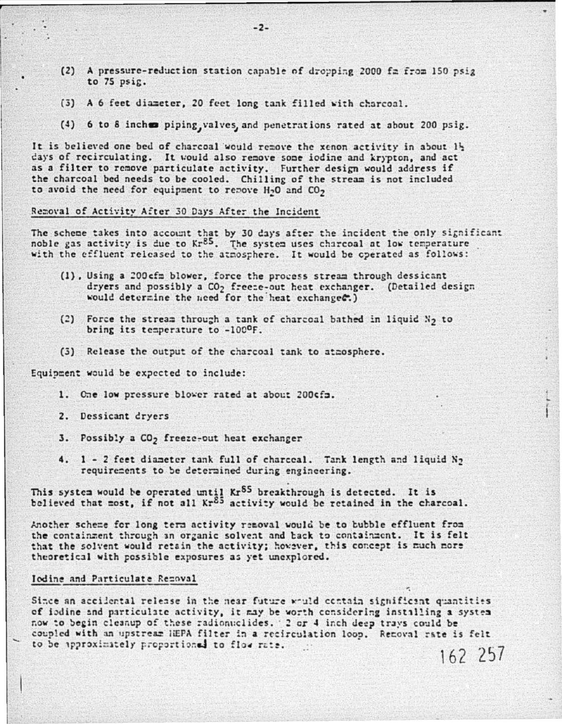- (2) A pressure-reduction station capable of dropping 2000 fa from 150 psig to 75 psig.
- (3) A 6 feet diameter, 20 feet long tank filled with charcoal.
- (4) 6 to 8 inches piping, valves, and penetrations rated at about 200 psig.

It is believed one bed of charcoal would remove the xenon activity in about 1} days of recirculating. It would also remove some iodine and krypton, and act as a filter to remove particulate activity. Further design would address if the charcoal bed needs to be cooled. Chilling of the stream is not included to avoid the need for equipment to remove H<sub>2</sub>O and CO<sub>2</sub>

## Removal of Activity After 30 Days After the Incident

The scheme takes into account that by 30 days after the incident the only significant noble gas activity is due to Kr<sup>85</sup>. The system uses charcoal at low temperature with the effluent released to the atmosphere. It would be operated as follows:

- (1). Using a 200 cfm blower, force the process stream through dessicant dryers and possibly a CO<sub>2</sub> freeze-out heat exchanger. (Detailed design would determine the need for the heat exchanges.)
- (2) Force the stream through a tank of charcoal bathed in liquid N<sub>2</sub> to bring its temperature to -100°F.
- (3) Release the output of the charcoal tank to atmosphere.

Equipment would be expected to include:

- 1. One low pressure blower rated at about 200cfa.
- 2. Dessicant dryers
- 3. Possibly a CO<sub>2</sub> freeze-out heat exchanger
- 4. 1 2 feet diameter tank full of charceal. Tank length and liquid N<sub>2</sub> requirements to be determined during engineering.

This system would be operated until  $Kr^{85}$  breakthrough is detected. It is believed that most, if not all  $Kr^{85}$  activity would be retained in the charcoal.

Another scheme for long term activity removal would be to bubble effluent from the containment through an organic solvent and back to containment. It is felt that the solvent would retain the activity; however, this concept is much more theoretical with possible exposures as yet unexplored.

## Iodine and Particulate Rezoval

Since an accilental release in the near future would contain significant quantities of iodine and particulate activity, it may be worth considering installing a system now to begin cleanup of these radionuclides. 2 or 4 inch deep trays could be coupled with an upstream HEPA filter in a recirculation loop. Renoval rate is felt to be approximately proportional to flow rate. 162 257